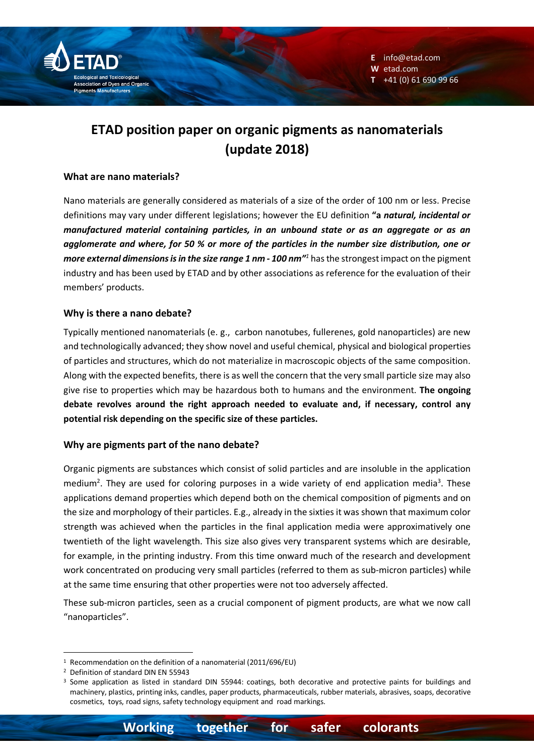

# **ETAD position paper on organic pigments as nanomaterials (update 2018)**

## **What are nano materials?**

Nano materials are generally considered as materials of a size of the order of 100 nm or less. Precise definitions may vary under different legislations; however the EU definition **"a** *natural, incidental or manufactured material containing particles, in an unbound state or as an aggregate or as an agglomerate and where, for 50 % or more of the particles in the number size distribution, one or more external dimensions is in the size range 1 nm - 100 nm"<sup>1</sup>* has the strongest impact on the pigment industry and has been used by ETAD and by other associations as reference for the evaluation of their members' products.

## **Why is there a nano debate?**

Typically mentioned nanomaterials (e. g., carbon nanotubes, fullerenes, gold nanoparticles) are new and technologically advanced; they show novel and useful chemical, physical and biological properties of particles and structures, which do not materialize in macroscopic objects of the same composition. Along with the expected benefits, there is as well the concern that the very small particle size may also give rise to properties which may be hazardous both to humans and the environment. **The ongoing debate revolves around the right approach needed to evaluate and, if necessary, control any potential risk depending on the specific size of these particles.**

# **Why are pigments part of the nano debate?**

Organic pigments are substances which consist of solid particles and are insoluble in the application medium<sup>2</sup>. They are used for coloring purposes in a wide variety of end application media<sup>3</sup>. These applications demand properties which depend both on the chemical composition of pigments and on the size and morphology of their particles. E.g., already in the sixties it was shown that maximum color strength was achieved when the particles in the final application media were approximatively one twentieth of the light wavelength. This size also gives very transparent systems which are desirable, for example, in the printing industry. From this time onward much of the research and development work concentrated on producing very small particles (referred to them as sub-micron particles) while at the same time ensuring that other properties were not too adversely affected.

These sub-micron particles, seen as a crucial component of pigment products, are what we now call "nanoparticles".

<sup>&</sup>lt;sup>1</sup> Recommendation on the definition of a nanomaterial (2011/696/EU)

<sup>2</sup> Definition of standard DIN EN 55943

<sup>&</sup>lt;sup>3</sup> Some application as listed in standard DIN 55944: coatings, both decorative and protective paints for buildings and machinery, plastics, printing inks, candles, paper products, pharmaceuticals, rubber materials, abrasives, soaps, decorative cosmetics, toys, road signs, safety technology equipment and road markings.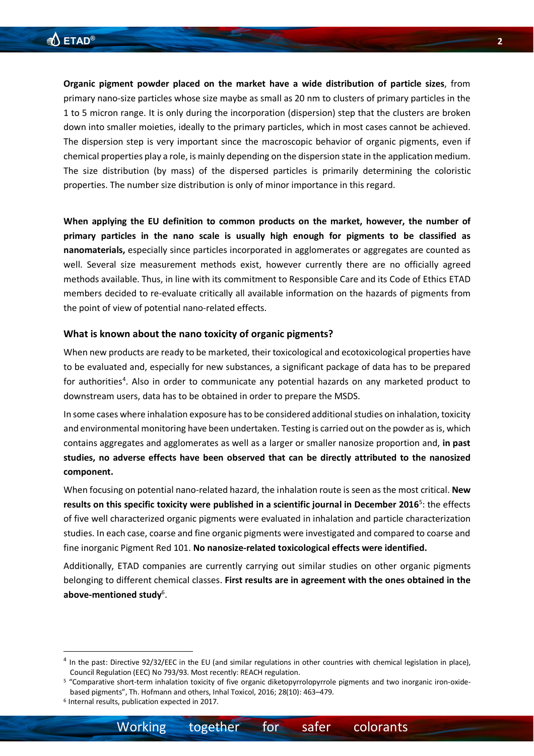**Organic pigment powder placed on the market have a wide distribution of particle sizes**, from primary nano-size particles whose size maybe as small as 20 nm to clusters of primary particles in the 1 to 5 micron range. It is only during the incorporation (dispersion) step that the clusters are broken down into smaller moieties, ideally to the primary particles, which in most cases cannot be achieved. The dispersion step is very important since the macroscopic behavior of organic pigments, even if chemical properties play a role, is mainly depending on the dispersion state in the application medium. The size distribution (by mass) of the dispersed particles is primarily determining the coloristic properties. The number size distribution is only of minor importance in this regard.

**When applying the EU definition to common products on the market, however, the number of primary particles in the nano scale is usually high enough for pigments to be classified as nanomaterials,** especially since particles incorporated in agglomerates or aggregates are counted as well. Several size measurement methods exist, however currently there are no officially agreed methods available. Thus, in line with its commitment to Responsible Care and its Code of Ethics ETAD members decided to re-evaluate critically all available information on the hazards of pigments from the point of view of potential nano-related effects.

### **What is known about the nano toxicity of organic pigments?**

When new products are ready to be marketed, their toxicological and ecotoxicological properties have to be evaluated and, especially for new substances, a significant package of data has to be prepared for authorities<sup>4</sup>. Also in order to communicate any potential hazards on any marketed product to downstream users, data has to be obtained in order to prepare the MSDS.

In some cases where inhalation exposure has to be considered additional studies on inhalation, toxicity and environmental monitoring have been undertaken. Testing is carried out on the powder as is, which contains aggregates and agglomerates as well as a larger or smaller nanosize proportion and, **in past studies, no adverse effects have been observed that can be directly attributed to the nanosized component.**

When focusing on potential nano-related hazard, the inhalation route is seen as the most critical. **New** results on this specific toxicity were published in a scientific journal in December 2016<sup>5</sup>: the effects of five well characterized organic pigments were evaluated in inhalation and particle characterization studies. In each case, coarse and fine organic pigments were investigated and compared to coarse and fine inorganic Pigment Red 101. **No nanosize-related toxicological effects were identified.**

Additionally, ETAD companies are currently carrying out similar studies on other organic pigments belonging to different chemical classes. **First results are in agreement with the ones obtained in the**  above-mentioned study<sup>6</sup>.

 <sup>4</sup> In the past: Directive 92/32/EEC in the EU (and similar regulations in other countries with chemical legislation in place), Council Regulation (EEC) No 793/93. Most recently: REACH regulation.

<sup>5</sup> "Comparative short-term inhalation toxicity of five organic diketopyrrolopyrrole pigments and two inorganic iron-oxidebased pigments", Th. Hofmann and others, Inhal Toxicol, 2016; 28(10): 463–479.

<sup>6</sup> Internal results, publication expected in 2017.